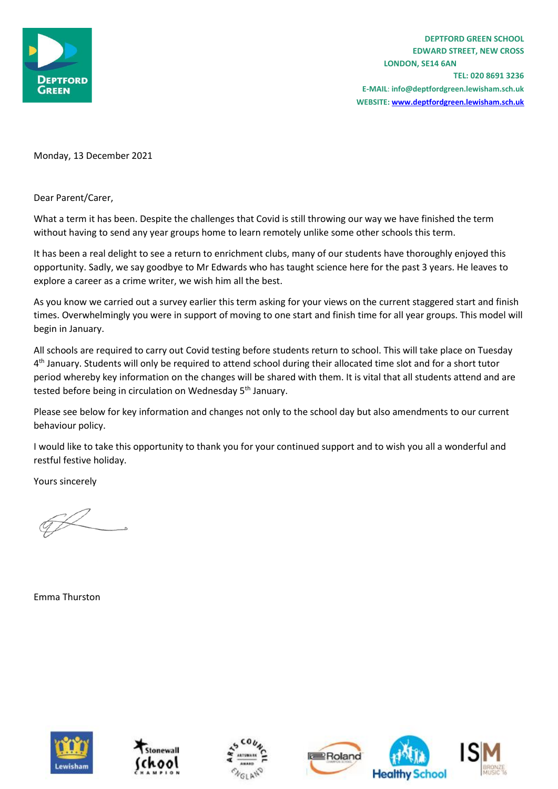

**TEL: 020 8691 3236 E-MAIL**: **info@deptfordgreen.lewisham.sch.uk WEBSITE: www.deptfordgreen.lewisham.sch.uk**

Monday, 13 December 2021

Dear Parent/Carer,

What a term it has been. Despite the challenges that Covid is still throwing our way we have finished the term without having to send any year groups home to learn remotely unlike some other schools this term.

It has been a real delight to see a return to enrichment clubs, many of our students have thoroughly enjoyed this opportunity. Sadly, we say goodbye to Mr Edwards who has taught science here for the past 3 years. He leaves to explore a career as a crime writer, we wish him all the best.

As you know we carried out a survey earlier this term asking for your views on the current staggered start and finish times. Overwhelmingly you were in support of moving to one start and finish time for all year groups. This model will begin in January.

All schools are required to carry out Covid testing before students return to school. This will take place on Tuesday 4<sup>th</sup> January. Students will only be required to attend school during their allocated time slot and for a short tutor period whereby key information on the changes will be shared with them. It is vital that all students attend and are tested before being in circulation on Wednesday 5<sup>th</sup> January.

Please see below for key information and changes not only to the school day but also amendments to our current behaviour policy.

I would like to take this opportunity to thank you for your continued support and to wish you all a wonderful and restful festive holiday.

Yours sincerely

Emma Thurston









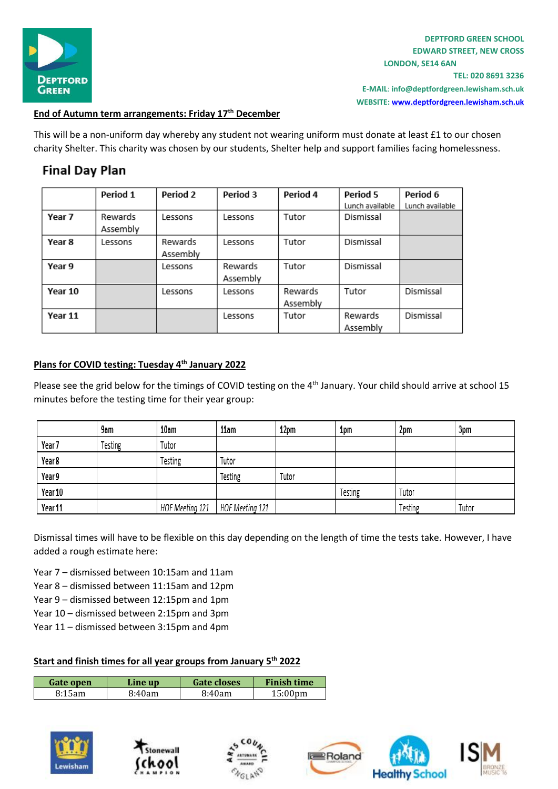

**TEL: 020 8691 3236 E-MAIL**: **info@deptfordgreen.lewisham.sch.uk WEBSITE: www.deptfordgreen.lewisham.sch.uk**

## **End of Autumn term arrangements: Friday 17th December**

This will be a non-uniform day whereby any student not wearing uniform must donate at least £1 to our chosen charity Shelter. This charity was chosen by our students, Shelter help and support families facing homelessness.

# **Final Day Plan**

|         | Period 1            | Period 2            | Period 3            | Period 4            | Period 5<br>Lunch available | Period 6<br>Lunch available |
|---------|---------------------|---------------------|---------------------|---------------------|-----------------------------|-----------------------------|
| Year 7  | Rewards<br>Assembly | Lessons             | Lessons             | Tutor               | Dismissal                   |                             |
| Year 8  | Lessons             | Rewards<br>Assembly | Lessons             | Tutor               | Dismissal                   |                             |
| Year 9  |                     | Lessons             | Rewards<br>Assembly | Tutor               | Dismissal                   |                             |
| Year 10 |                     | Lessons             | Lessons             | Rewards<br>Assembly | Tutor                       | Dismissal                   |
| Year 11 |                     |                     | Lessons             | Tutor               | Rewards<br>Assembly         | Dismissal                   |

## **Plans for COVID testing: Tuesday 4th January 2022**

Please see the grid below for the timings of COVID testing on the 4<sup>th</sup> January. Your child should arrive at school 15 minutes before the testing time for their year group:

|         | 9am     | 10am            | 11am            | 12pm  | 1pm     | 2pm     | 3pm   |
|---------|---------|-----------------|-----------------|-------|---------|---------|-------|
| Year 7  | Testing | Tutor           |                 |       |         |         |       |
| Year 8  |         | Testing         | Tutor           |       |         |         |       |
| Year 9  |         |                 | Testing         | Tutor |         |         |       |
| Year 10 |         |                 |                 |       | Testing | Tutor   |       |
| Year 11 |         | HOF Meeting 121 | HOF Meeting 121 |       |         | Testing | Tutor |

Dismissal times will have to be flexible on this day depending on the length of time the tests take. However, I have added a rough estimate here:

Year 7 – dismissed between 10:15am and 11am

- Year 8 dismissed between 11:15am and 12pm
- Year 9 dismissed between 12:15pm and 1pm
- Year 10 dismissed between 2:15pm and 3pm
- Year 11 dismissed between 3:15pm and 4pm

### **Start and finish times for all year groups from January 5th 2022**

| Gate open | Line up | <b>Gate closes</b> | <b>Finish time</b> |
|-----------|---------|--------------------|--------------------|
| 8:15am    | 8:40am  | 8:40am             | $15:00 \text{pm}$  |